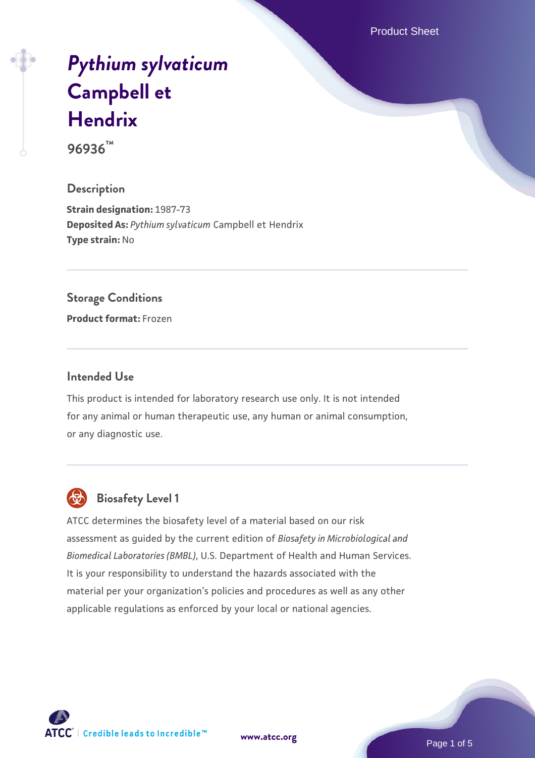Product Sheet

# *[Pythium sylvaticum](https://www.atcc.org/products/96936)* **[Campbell et](https://www.atcc.org/products/96936) [Hendrix](https://www.atcc.org/products/96936)**

**96936™**

### **Description**

**Strain designation:** 1987-73 **Deposited As:** *Pythium sylvaticum* Campbell et Hendrix **Type strain:** No

### **Storage Conditions**

**Product format:** Frozen

### **Intended Use**

This product is intended for laboratory research use only. It is not intended for any animal or human therapeutic use, any human or animal consumption, or any diagnostic use.



# **Biosafety Level 1**

ATCC determines the biosafety level of a material based on our risk assessment as guided by the current edition of *Biosafety in Microbiological and Biomedical Laboratories (BMBL)*, U.S. Department of Health and Human Services. It is your responsibility to understand the hazards associated with the material per your organization's policies and procedures as well as any other applicable regulations as enforced by your local or national agencies.

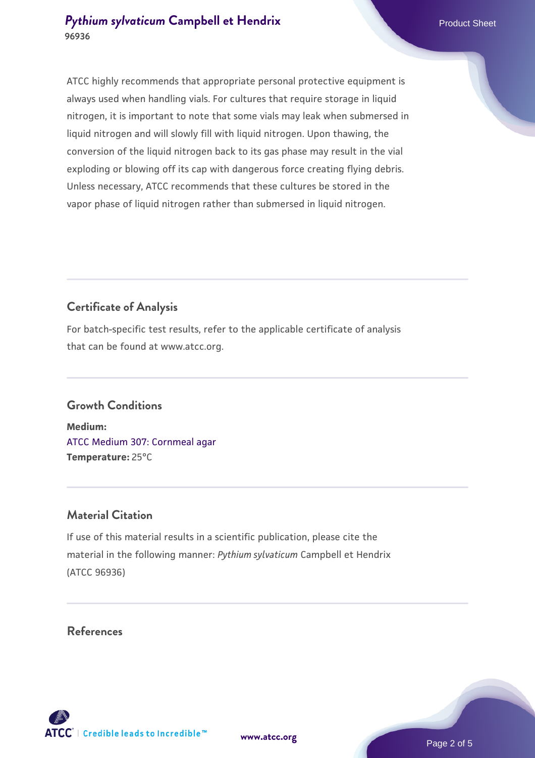### **[Pythium sylvaticum](https://www.atcc.org/products/96936) [Campbell et Hendrix](https://www.atcc.org/products/96936)** Product Sheet **96936**

ATCC highly recommends that appropriate personal protective equipment is always used when handling vials. For cultures that require storage in liquid nitrogen, it is important to note that some vials may leak when submersed in liquid nitrogen and will slowly fill with liquid nitrogen. Upon thawing, the conversion of the liquid nitrogen back to its gas phase may result in the vial exploding or blowing off its cap with dangerous force creating flying debris. Unless necessary, ATCC recommends that these cultures be stored in the vapor phase of liquid nitrogen rather than submersed in liquid nitrogen.

# **Certificate of Analysis**

For batch-specific test results, refer to the applicable certificate of analysis that can be found at www.atcc.org.

### **Growth Conditions**

**Medium:**  [ATCC Medium 307: Cornmeal agar](https://www.atcc.org/-/media/product-assets/documents/microbial-media-formulations/3/0/7/atcc-medium-307.pdf?rev=5cd8aaa5fcde44f5873396cc2a06f590) **Temperature:** 25°C

### **Material Citation**

If use of this material results in a scientific publication, please cite the material in the following manner: *Pythium sylvaticum* Campbell et Hendrix (ATCC 96936)

### **References**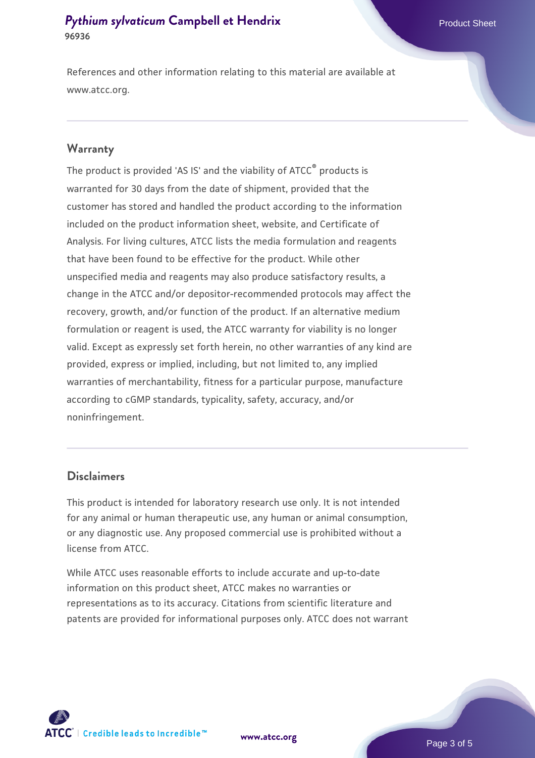### **[Pythium sylvaticum](https://www.atcc.org/products/96936) [Campbell et Hendrix](https://www.atcc.org/products/96936)** Product Sheet **96936**

References and other information relating to this material are available at www.atcc.org.

### **Warranty**

The product is provided 'AS IS' and the viability of ATCC® products is warranted for 30 days from the date of shipment, provided that the customer has stored and handled the product according to the information included on the product information sheet, website, and Certificate of Analysis. For living cultures, ATCC lists the media formulation and reagents that have been found to be effective for the product. While other unspecified media and reagents may also produce satisfactory results, a change in the ATCC and/or depositor-recommended protocols may affect the recovery, growth, and/or function of the product. If an alternative medium formulation or reagent is used, the ATCC warranty for viability is no longer valid. Except as expressly set forth herein, no other warranties of any kind are provided, express or implied, including, but not limited to, any implied warranties of merchantability, fitness for a particular purpose, manufacture according to cGMP standards, typicality, safety, accuracy, and/or noninfringement.

### **Disclaimers**

This product is intended for laboratory research use only. It is not intended for any animal or human therapeutic use, any human or animal consumption, or any diagnostic use. Any proposed commercial use is prohibited without a license from ATCC.

While ATCC uses reasonable efforts to include accurate and up-to-date information on this product sheet, ATCC makes no warranties or representations as to its accuracy. Citations from scientific literature and patents are provided for informational purposes only. ATCC does not warrant



**[www.atcc.org](http://www.atcc.org)**

Page 3 of 5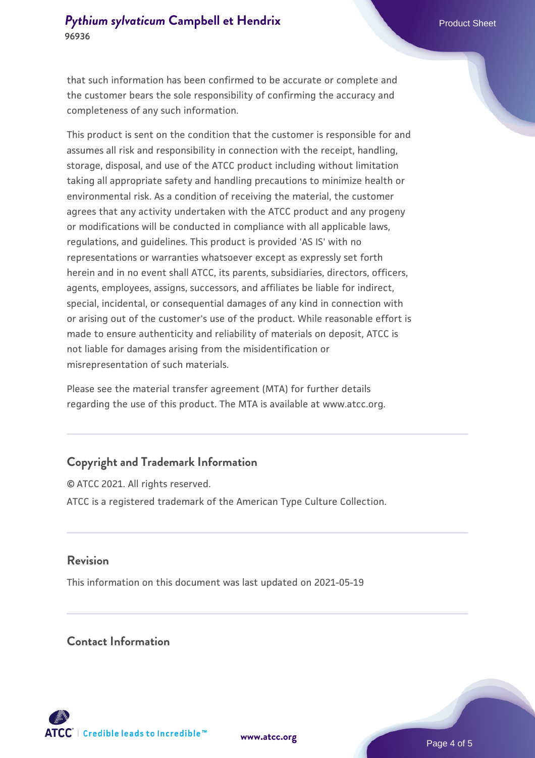### **[Pythium sylvaticum](https://www.atcc.org/products/96936) [Campbell et Hendrix](https://www.atcc.org/products/96936)** Product Sheet **96936**

that such information has been confirmed to be accurate or complete and the customer bears the sole responsibility of confirming the accuracy and completeness of any such information.

This product is sent on the condition that the customer is responsible for and assumes all risk and responsibility in connection with the receipt, handling, storage, disposal, and use of the ATCC product including without limitation taking all appropriate safety and handling precautions to minimize health or environmental risk. As a condition of receiving the material, the customer agrees that any activity undertaken with the ATCC product and any progeny or modifications will be conducted in compliance with all applicable laws, regulations, and guidelines. This product is provided 'AS IS' with no representations or warranties whatsoever except as expressly set forth herein and in no event shall ATCC, its parents, subsidiaries, directors, officers, agents, employees, assigns, successors, and affiliates be liable for indirect, special, incidental, or consequential damages of any kind in connection with or arising out of the customer's use of the product. While reasonable effort is made to ensure authenticity and reliability of materials on deposit, ATCC is not liable for damages arising from the misidentification or misrepresentation of such materials.

Please see the material transfer agreement (MTA) for further details regarding the use of this product. The MTA is available at www.atcc.org.

### **Copyright and Trademark Information**

© ATCC 2021. All rights reserved. ATCC is a registered trademark of the American Type Culture Collection.

### **Revision**

This information on this document was last updated on 2021-05-19

### **Contact Information**



**[www.atcc.org](http://www.atcc.org)**